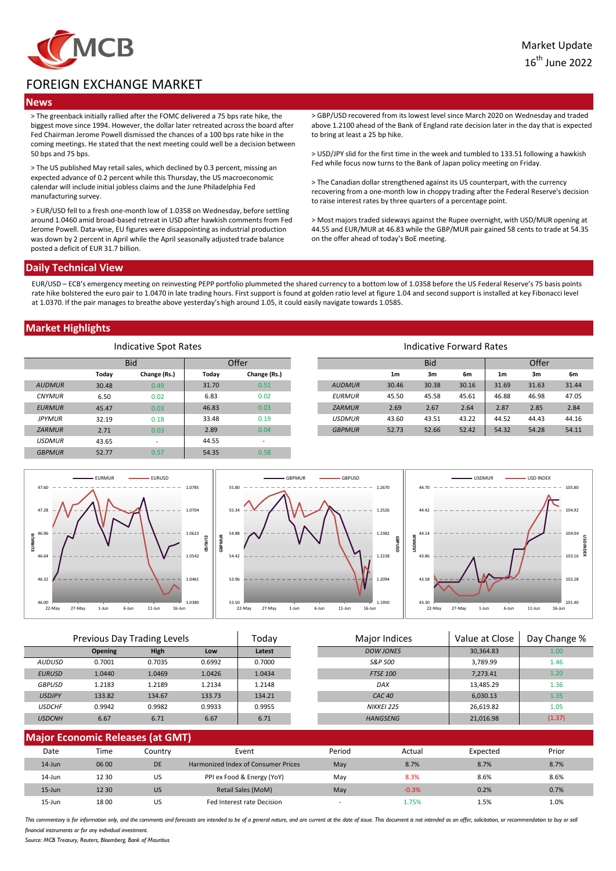

# FOREIGN EXCHANGE MARKET

### **News**

> The greenback initially rallied after the FOMC delivered a 75 bps rate hike, the biggest move since 1994. However, the dollar later retreated across the board after Fed Chairman Jerome Powell dismissed the chances of a 100 bps rate hike in the coming meetings. He stated that the next meeting could well be a decision between 50 bps and 75 bps.

> The US published May retail sales, which declined by 0.3 percent, missing an expected advance of 0.2 percent while this Thursday, the US macroeconomic calendar will include initial jobless claims and the June Philadelphia Fed manufacturing survey.

> EUR/USD fell to a fresh one-month low of 1.0358 on Wednesday, before settling around 1.0460 amid broad-based retreat in USD after hawkish comments from Fed Jerome Powell. Data-wise, EU figures were disappointing as industrial production was down by 2 percent in April while the April seasonally adjusted trade balance posted a deficit of EUR 31.7 billion.

> GBP/USD recovered from its lowest level since March 2020 on Wednesday and traded above 1.2100 ahead of the Bank of England rate decision later in the day that is expected to bring at least a 25 bp hike.

> USD/JPY slid for the first time in the week and tumbled to 133.51 following a hawkish Fed while focus now turns to the Bank of Japan policy meeting on Friday.

> The Canadian dollar strengthened against its US counterpart, with the currency recovering from a one-month low in choppy trading after the Federal Reserve's decision to raise interest rates by three quarters of a percentage point.

> Most majors traded sideways against the Rupee overnight, with USD/MUR opening at 44.55 and EUR/MUR at 46.83 while the GBP/MUR pair gained 58 cents to trade at 54.35 on the offer ahead of today's BoE meeting.

### **Daily Technical View**

EUR/USD – ECB's emergency meeting on reinvesting PEPP portfolio plummeted the shared currency to a bottom low of 1.0358 before the US Federal Reserve's 75 basis points rate hike bolstered the euro pair to 1.0470 in late trading hours. First support is found at golden ratio level at figure 1.04 and second support is installed at key Fibonacci level at 1.0370. If the pair manages to breathe above yesterday's high around 1.05, it could easily navigate towards 1.0585.

## **Market Highlights**

| Indicative Spot Rates |       |              |       |                          | Indicative Forward Rates |                |            |       |                |       |       |
|-----------------------|-------|--------------|-------|--------------------------|--------------------------|----------------|------------|-------|----------------|-------|-------|
| <b>Bid</b>            |       |              | Offer |                          |                          |                | <b>Bid</b> |       |                | Offer |       |
|                       | Today | Change (Rs.) | Today | Change (Rs.)             |                          | 1 <sub>m</sub> | 3m         | 6m    | 1 <sub>m</sub> | 3m    | 6m    |
| <b>AUDMUR</b>         | 30.48 | 0.49         | 31.70 | 0.51                     | <b>AUDMUR</b>            | 30.46          | 30.38      | 30.16 | 31.69          | 31.63 | 31.44 |
| <b>CNYMUR</b>         | 6.50  | 0.02         | 6.83  | 0.02                     | <b>EURMUR</b>            | 45.50          | 45.58      | 45.61 | 46.88          | 46.98 | 47.05 |
| <b>EURMUR</b>         | 45.47 | 0.03         | 46.83 | 0.03                     | <b>ZARMUR</b>            | 2.69           | 2.67       | 2.64  | 2.87           | 2.85  | 2.84  |
| <b>JPYMUR</b>         | 32.19 | 0.18         | 33.48 | 0.19                     | <b>USDMUR</b>            | 43.60          | 43.51      | 43.22 | 44.52          | 44.43 | 44.16 |
| <b>ZARMUR</b>         | 2.71  | 0.03         | 2.89  | 0.04                     | <b>GBPMUR</b>            | 52.73          | 52.66      | 52.42 | 54.32          | 54.28 | 54.11 |
| <b>USDMUR</b>         | 43.65 | ۰            | 44.55 | $\overline{\phantom{a}}$ |                          |                |            |       |                |       |       |
| <b>GBPMUR</b>         | 52.77 | 0.57         | 54.35 | 0.58                     |                          |                |            |       |                |       |       |



| Previous Day Trading Levels |                |             | Todav  | Major Indices | Value at Close    | Day Change % |        |
|-----------------------------|----------------|-------------|--------|---------------|-------------------|--------------|--------|
|                             | <b>Opening</b> | <b>High</b> | Low    | Latest        | DOW JONES         | 30,364.83    | 1.00   |
| <b>AUDUSD</b>               | 0.7001         | 0.7035      | 0.6992 | 0.7000        | S&P 500           | 3,789.99     | 1.46   |
| <b>EURUSD</b>               | 1.0440         | 1.0469      | 1.0426 | 1.0434        | <b>FTSE 100</b>   | 7,273.41     | 1.20   |
| <b>GBPUSD</b>               | 1.2183         | 1.2189      | 1.2134 | 1.2148        | DAX               | 13.485.29    | 1.36   |
| <b>USDJPY</b>               | 133.82         | 134.67      | 133.73 | 134.21        | CAC <sub>40</sub> | 6.030.13     | 1.35   |
| <b>USDCHF</b>               | 0.9942         | 0.9982      | 0.9933 | 0.9955        | NIKKEI 225        | 26,619.82    | 1.05   |
| <b>USDCNH</b>               | 6.67           | 6.71        | 6.67   | 6.71          | <b>HANGSENG</b>   | 21,016.98    | (1.37) |
|                             |                |             |        |               |                   |              |        |

| <b>Major Economic Releases (at GMT)</b> |       |           |                                     |                          |         |          |       |
|-----------------------------------------|-------|-----------|-------------------------------------|--------------------------|---------|----------|-------|
| Date                                    | Time  | Countrv   | Event                               | Period                   | Actual  | Expected | Prior |
| $14$ -Jun                               | 06 00 | <b>DE</b> | Harmonized Index of Consumer Prices | May                      | 8.7%    | 8.7%     | 8.7%  |
| 14-Jun                                  | 12 30 | US        | PPI ex Food & Energy (YoY)          | May                      | 8.3%    | 8.6%     | 8.6%  |
| $15 - Jun$                              | 12 30 | US        | Retail Sales (MoM)                  | May                      | $-0.3%$ | 0.2%     | 0.7%  |
| 15-Jun                                  | 1800  | US        | Fed Interest rate Decision          | $\overline{\phantom{a}}$ | 75%.    | 1.5%     | 1.0%  |

This commentary is for information only, and the comments and forecasts are intended to be of a general nature, and are current at the date of issue. This document is not intended as an offer, solicitation, or recommendati financial instruments or for any individual investment

*Source: MCB Treasury, Reuters, Bloomberg, Bank of Mauritius*